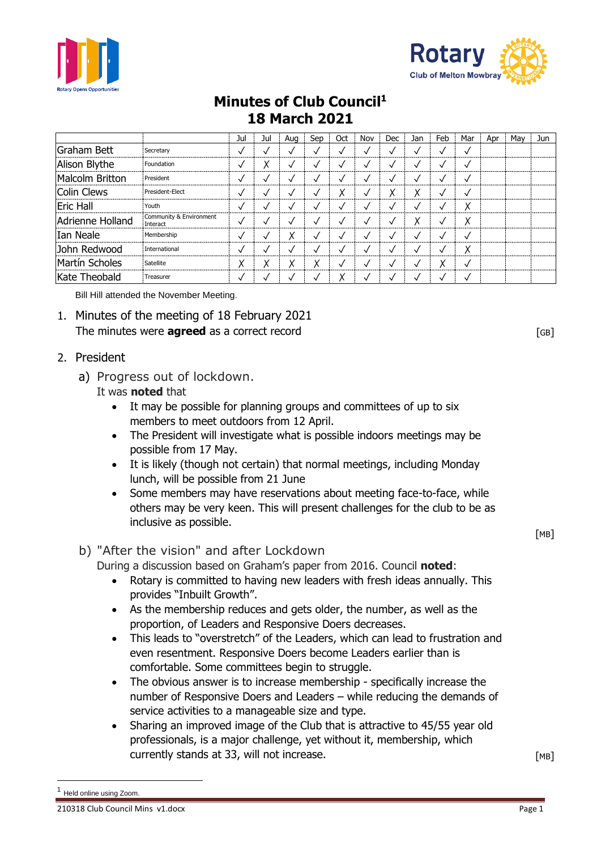



## **Minutes of Club Council<sup>1</sup> 18 March 2021**

|                  |                                     | Jul | Jul    | Aua | Sep | Oct          | Nov          | Dec          | Jan    | Feb          | Mar          | Apr | Mav | Jun |
|------------------|-------------------------------------|-----|--------|-----|-----|--------------|--------------|--------------|--------|--------------|--------------|-----|-----|-----|
| Graham Bett      | Secretary                           | √   |        |     |     | $\checkmark$ | √            | √            | √      | √            | $\checkmark$ |     |     |     |
| Alison Blythe    | Foundation                          | √   | Χ      |     |     | $\checkmark$ | $\checkmark$ | $\checkmark$ |        | $\checkmark$ | $\checkmark$ |     |     |     |
| Malcolm Britton  | President                           | √   |        |     |     | $\checkmark$ | $\checkmark$ | ✓            | ◡      | $\checkmark$ | $\checkmark$ |     |     |     |
| Colin Clews      | President-Elect                     | √   |        |     |     | Χ            | √            | Χ            | v<br>∧ | $\checkmark$ | $\checkmark$ |     |     |     |
| Eric Hall        | Youth                               | √   |        |     |     | $\checkmark$ | $\checkmark$ | ✓            |        | $\checkmark$ | Χ            |     |     |     |
| Adrienne Holland | Community & Environment<br>Interact | √   |        |     |     | $\checkmark$ | $\checkmark$ | $\checkmark$ | Χ      | √            | Χ            |     |     |     |
| Ian Neale        | Membership                          | √   |        | Χ   |     | $\checkmark$ | $\checkmark$ | $\checkmark$ |        | $\checkmark$ | $\checkmark$ |     |     |     |
| John Redwood     | International                       | √   |        |     |     | $\checkmark$ | $\checkmark$ | $\checkmark$ |        | √            | Χ            |     |     |     |
| Martín Scholes   | Satellite                           | Χ   | v<br>∧ | Χ   | v   | $\checkmark$ | √            | ✓            | √      | v<br>∧       | √            |     |     |     |
| Kate Theobald    | Treasurer                           |     |        |     |     |              | √            | $\checkmark$ |        |              | $\checkmark$ |     |     |     |

Bill Hill attended the November Meeting.

- 1. Minutes of the meeting of 18 February 2021 The minutes were **agreed** as a correct record **EXECUTE 2008** [GB]
- 2. President
	- a) Progress out of lockdown.
		- It was **noted** that
			- It may be possible for planning groups and committees of up to six members to meet outdoors from 12 April.
			- The President will investigate what is possible indoors meetings may be possible from 17 May.
			- It is likely (though not certain) that normal meetings, including Monday lunch, will be possible from 21 June
			- Some members may have reservations about meeting face-to-face, while others may be very keen. This will present challenges for the club to be as inclusive as possible.

## b) "After the vision" and after Lockdown

During a discussion based on Graham's paper from 2016. Council **noted**:

- Rotary is committed to having new leaders with fresh ideas annually. This provides "Inbuilt Growth".
- As the membership reduces and gets older, the number, as well as the proportion, of Leaders and Responsive Doers decreases.
- This leads to "overstretch" of the Leaders, which can lead to frustration and even resentment. Responsive Doers become Leaders earlier than is comfortable. Some committees begin to struggle.
- The obvious answer is to increase membership specifically increase the number of Responsive Doers and Leaders – while reducing the demands of service activities to a manageable size and type.
- Sharing an improved image of the Club that is attractive to 45/55 year old professionals, is a major challenge, yet without it, membership, which currently stands at 33, will not increase.  $[MB]$

[MB]

Held online using Zoom.